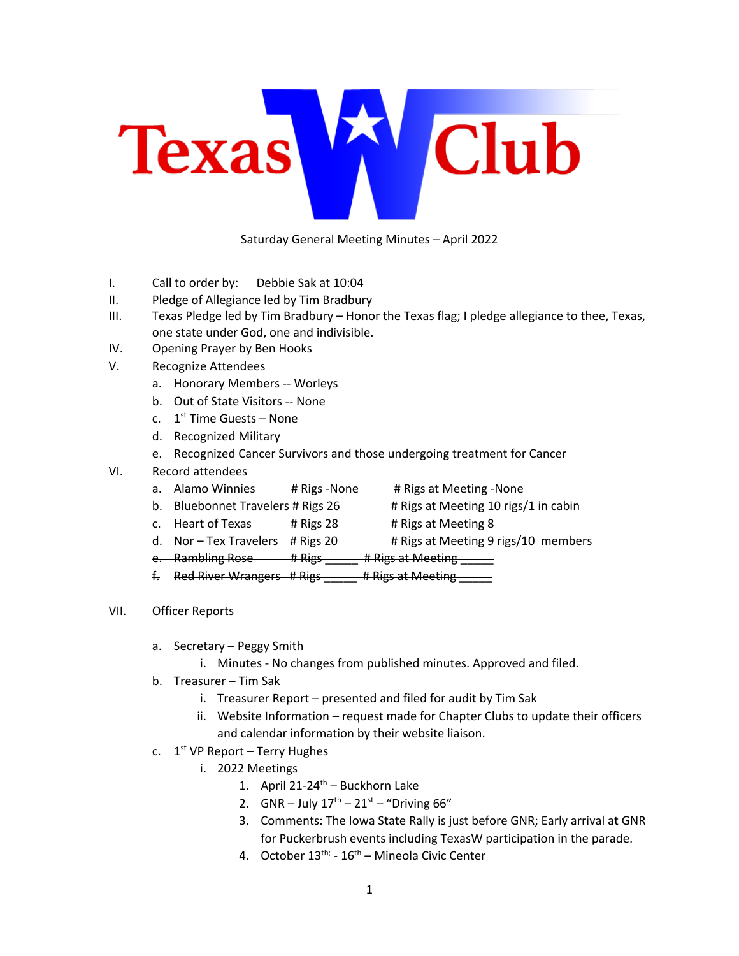

Saturday General Meeting Minutes – April 2022

- I. Call to order by: Debbie Sak at 10:04
- II. Pledge of Allegiance led by Tim Bradbury
- III. Texas Pledge led by Tim Bradbury Honor the Texas flag; I pledge allegiance to thee, Texas, one state under God, one and indivisible.
- IV. Opening Prayer by Ben Hooks
- V. Recognize Attendees
	- a. Honorary Members -- Worleys
	- b. Out of State Visitors -- None
	- c.  $1^{st}$  Time Guests None
	- d. Recognized Military
	- e. Recognized Cancer Survivors and those undergoing treatment for Cancer
- VI. Record attendees
	- a. Alamo Winnies # Rigs -None # Rigs at Meeting -None
		-
	- b. Bluebonnet Travelers # Rigs  $26$  # Rigs at Meeting 10 rigs/1 in cabin
		-
	- c. Heart of Texas # Rigs 28 # Rigs at Meeting 8
	- d. Nor Tex Travelers  $#$  Rigs 20  $#$  Rigs at Meeting 9 rigs/10 members
	- e. Rambling Rose # Rigs # Rigs at Meeting
	- f. Red River Wrangers # Rigs \_\_\_\_\_ # Rigs at Meeting \_\_\_\_\_
- VII. Officer Reports
	- a. Secretary Peggy Smith
		- i. Minutes No changes from published minutes. Approved and filed.
	- b. Treasurer Tim Sak
		- i. Treasurer Report presented and filed for audit by Tim Sak
		- ii. Website Information request made for Chapter Clubs to update their officers and calendar information by their website liaison.
	- c.  $1<sup>st</sup> VP Report Terry Hughes$ 
		- i. 2022 Meetings
			- 1. April  $21-24^{th}$  Buckhorn Lake
			- 2. GNR July  $17^{th}$   $21^{st}$  "Driving 66"
			- 3. Comments: The Iowa State Rally is just before GNR; Early arrival at GNR for Puckerbrush events including TexasW participation in the parade.
			- 4. October  $13^{th}$ ;  $16^{th}$  Mineola Civic Center